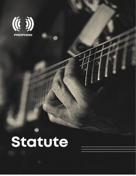

l

Statute

# **Statute**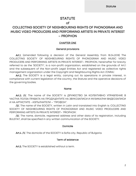Statute

# **STATUTE**

## of

# COLLECTING SOCIETY OF NEIGHBOURING RIGHTS OF PHONOGRAM AND MUSIC VIDEO PRODUCERS AND PERFORMING ARTISTS IN PRIVATE INTEREST – PROPHON

### CHAPTER ONE

### General provisions

Art.1. (amended following a decision of the General Assembly from 18.04.2018) The COLLECTING SOCIETY OF NEIGHBOURING RIGHTS OF PHONOGRAM AND MUSIC VIDEO PRODUCERS AND PERFORMING ARTISTS IN PRIVATE INTEREST– PROPHON, hereinafter for brevity referred to as the 'SOCIETY', is a non-profit organization, established on the grounds of Art.1 and the subsequent of the Non-profit Legal Entities Act and registered as collective rights management organization under the Copyright and Neighbouring Rights Act /CNRA/.

Art.2. The SOCIETY is a legal entity, carrying out its operations in private interest, in compliance with current legislation of the country, the Statute and the operative decisions of the governing bodies.

### Name

Art.3. /1/. The name of the SOCIETY is ДРУЖЕСТВО ЗА КОЛЕКТИВНО УПРАВЛЕНИЕ В ЧАСТНА ПОЛЗА ПРАВАТА НА ПРОДУЦЕНТИТЕ НА ЗВУКОЗАПИСИ И МУЗИКАЛНИ ВИДЕОЗАПИСИ И НА АРТИСТИТЕ - ИЗПЪЛНИТЕЛИ – "ПРОФОН".

/2/. The name of the SOCIETY, written in Latin and translated into English is: COLLECTING SOCIETY OF NEIGHBOURING RIGHTS OF PHONOGRAM AND MUSIC VIDEO PRODUCERS AND PERFORMING ARTISTS IN PRIVATE INTEREST– 'PROPHON'.

/3/. The name, domicile, registered address and other data of its registration, including BULSTAT, shall be specified in any written communication of the SOCIETY.

### Domicile

Art.4. /1/. The domicile of the SOCIETY is Sofia city, Republic of Bulgaria.

### Term of existence

Art.5. The SOCIETY is established without a term.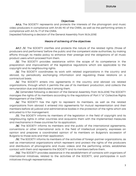**Statute** 

### **Objectives**

Art.6. The SOCIETY represents and protects the interests of the phonogram and music video producers in compliance with Art.85-90 of the CNRA, as well as the performing artists in compliance with Art.76-77 of the CNRA.

(repealed following a decision of the General Assembly from 18.04.2018)

### Means of achieving of the objectives

Art.7. /1/. The SOCIETY clarifies and protects the nature of the related rights /those of producers and performers/ before the public and the competent state authorities, by making efforts through its media policy to enhance their prestige and the obligations of all music product users which proceed from them.

/2/. The SOCIETY provides assistance within the scope of its competence in the preparation and improvement of the legislative regulations which are applicable to the copyright and its neighbouring rights.

/3/. The SOCIETY coordinates its work with related organizations in the country and abroad, by periodically exchanging information and regulating these relations on a contractual basis.

/4/. The SOCIETY enters into agreements in the country and abroad via related organizations, through which it permits the use of its members' production, and collects the remuneration due and distributes it among them.

/5/. (amended following a decision of the General Assembly from 18.04.2018) The SOCIETY manages the rights of its members according to the regulations of Part II "a" Collective Rights Management of the CNRA.

/6/. The SOCIETY has the right to represent its members, as well as the related organizations from abroad it entered into agreements for mutual representation and their members before all judicial and administrative bodies in the protection of the rights which are entrusted to it for management.

/7/. The SOCIETY informs its members of the legislation in the field of copyright and its neighbouring rights in other countries and acquaints them with the implemented measures and mechanisms in these countries for its application.

/8/. The SOCIETY informs its members and the public of the international agreements, conventions or other international acts in the field of intellectual property, expresses an opinion and prepares a coordinated opinion of its members on Bulgaria's accession of Bulgaria to those acts and their application.

/9/. The SOCIETY informs its members of the activities of foreign partner organizations, as well as international organizations which represent and protect the rights of the producers and distributors of phonograms and music videos and the performing artists, establishes contact with them and represents the SOCIETY and its members before them.

/10/. The SOCIETY provides assistance in the establishment of contacts with organizers of international initiatives, related to the activities of the SOCIETY, and participates in such initiatives through representatives.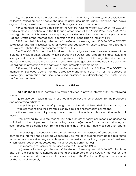/11/. The SOCIETY works in close interaction with the Ministry of Culture, other societies for collective management of copyright and neighbouring rights, radio, television and cable organizations, as well as all other users of phonograms and music videos.

/12/. (amended following a decision of the General Assembly from 18.04.2018) The SOCIETY works in close interaction with the Bulgarian Association of the Music Producers /BAMP/ as the organization which performs anti-piracy activities in Bulgaria and in its capacity as a National Group of the International Federation of the Phonographic Industry (IFPI).

/13/. (amended following a decision of the General Assembly from 18.04.2018) The SOCIETY establishes and administrates cultural, social and educational funds to foster and promote the work of right holders, represented by the SOCIETY;

/14/. The SOCIETY undertakes initiatives and campaigns to foster the development of the legitimate music market, among which conducting surveys and preparing charts, including surveys and charts on the use of music repertoire, which reflect the objective state of the market and serve as a reference point in determining the guidelines in the SOCIETY's activities regarding the protection of the rights and legal interests of its members.

/15/. (new, following a decision of the General Assembly from 18.04.2018) The SOCIETY is member of Societies' Council for the Collective Management /SCAPR/ for the purpose of exchanging information and acquiring good practices in administering the rights of its performers members.

### Scope of activities

Art.8 /1/ The SOCIETY performs its main activities in private interest with the following scope:

a/ To give permission in return for a fee and collect the remuneration for the producers and performing artists for:

- the public performance of phonograms and music videos, their broadcasting by wireless means and their transmission by cable or another technical means;

- the retransmission of phonograms and music videos by cable or another technical means;

 - the offering by wireless means, by cable or other technical means of access to unlimited number of people to the recording or to part(s) thereof in a manner, allowing for such access to be carried out from a place and at a time, individually selected by any of them.

- the copying of phonograms and music videos for the purpose of broadcasting them only on the Internet (the so called webcasting), as well as including them as a background music in non-interactive programs, designed to be performed publicly at places of business, which have independently settled the rights for public performance;

- the recording for personal use, according to Art.26 of the CNRA.

b/ (amended following a decision of the General Assembly from 18.04.2018) To distribute and pay the collected remuneration among the members of the SOCIETY, as well as the remuneration received for non-members, according to the Distribution Regulatives, adopted by the General Assembly.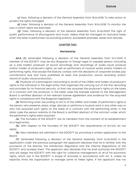c/ (new, following a decision of the General Assembly from 18.04.2018) Тo take action to protect the rights managed.

d/ (new, following a decision of the General Assembly from 18.04.2018) To monitor the way in which rights are exercised.

/2/. (new, following a decision of the General Assembly from 24.06.2020) The right of public performance of phonograms and music videos shall be managed on exclusive basis when the latter is performed via sounding publicly, accessible premises, areas and vehicles.

### CHAPTER TWO

### Membership

Art.9. /1/. (amended following a decision of the General Assembly from 04.11.2015) A member of the SOCIETY may be any Bulgarian or foreign legal or capable person /including as a sole trader/ producer of sound recordings and recordings of audio-visual produce and/or holder of producer's rights, as well as performers of musical works and/or holders of performing rights, that except the Statute, comply with the decisions of corporate bodies pay contributions due and have published at least one production, sound recording and/or record of audio-visual production.;

/2/. Producer of a phonogram /according to Art.85 of the CNRA/ and holder of producer's rights is the individual or the legal entity that organizes the carrying out of the first recording and provides for its financial security, or that has acquired the producer's rights on the basis of a contract with the producer; in the latter case the licensee submits to the Management Board a certified abstract of the relevant license agreement and evidence for the acquired rights in compliance with the Bulgarian legislation;

/3/ Performing artist /according to Art.74 of the CNRA/ and holder of performer's rights is the person who presents, plays, sings, dances or performs a musical work in any other way or who has acquired such rights on the basis of a contract with the performing artist; in the latter case the person submits to the Board a certified abstract of the contract under which the performer's rights were acquired.

/4/. The founders of the SOCIETY are its members from the moment of its establishment as a legal entity.

/5/. With respect to the founders of the SOCIETY the requirements of Art.9/6/ do not apply.

/6/. New members are admitted in the SOCIETY by providing a written application to the Board.

/7/. (amended following a decision of the General Assembly from 24.06.2020) In the application under the previous paragraph the applicant declares that he is familiar with the provisions of the Statute, the Distribution Regulative and the Internal Regulations of the SOCIETY and accepts them. The applicant also declares that he shall authorize the SOCIETY and will assign the SOCIETY with the right for collective management of all of his economic rights, which are in the SOCIETY 's scope of activities in accordance with Art. 8, unless he explicitly limits the organization to manage some of these rights. If the applicant has not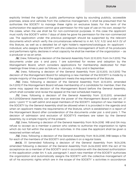explicitly limited the rights for public performance rights by sounding publicly, accessible premises, areas and vehicles from the collective management, it shall be presumed that he authorizes the SOCIETY to manage these rights on exclusive basis. For the term of the authorization the applicant cannot give permission for this type of use on his own, except for the cases, when the use shall be for non-commercial purposes. In this case the applicant must notify the SOCIETY within 7 days of date he gave his permission for the non-commercial use. The application under the previous paragraph should be supported by the relevant documents which which verify the circumstances referred to in Art. 9./1/, 9./2/ and Art.9 /3/ of this Statute, as well as a detailed list of right holder's repertoire/catalogue. An applicant individual, who assigns the SOCIETY with the collective management of both of his producers and performers rights, declares in what capacity he shall be member of the organization – as a producer or as an artist.

/8/. (new, following a decision of the General Assembly from 22.10.2013; from 04.11.2015). The documents under par. 6 and para. 7 are submitted for review and adoption by the Management Board, which considers applications for membership dedicated for their meetings three times a year as follows:. In January, in May and in September.

/9/. (new, following a decision of the General Assembly from 22.10.2013; 04.11.2015) The decision of the Management Board for adopting a new member of the SOCIETY is made by a simple majority of the present if the applicant meets the requirements of the Statute.

/10/. (new, following a decision of the General Assembly from 22.10.2013, amended 04.11.2015) If the Management Board refuses membership of a candidate for member, then the same may appeal the decision of the Management Board before the General Assembly, which shall consider and revise the appeal at the next scheduled meeting.

/11/. (new, following a decision of the General Assembly from 22.10.2013, amended 04.11.2015)General Assembly can exercise the power of the Management Board under art. 27 para. 1 point "t" to self-admit and expel members of the SOCIETY. Adoption of new member in the SOCIETY by the General Assembly shall be allowed when it is provided in the agenda and when an applicant meets the requirements of the Statute, which is established in a report of the Management Board after consideration of the documents under par. 6 and para. 7. The decision of admission and exclusion of SOCIETY'S members are taken by the General Assembly, by a simple majority of the present.

/12/. (new, following a decision of the General Assembly from 18.04.2018) MB and GA may refuse to accept as a member a person who wishes to authorize the organization to rights which do not fall within the scope of its activities. In this case the applicant shall be given a reasoned written refusal.

/13/. (new, following a decision of the General Assembly from 18.04.2018) /MB keeps a file for each of the members of the SOCIETY and updates it on a regular basis.

 Art.10. /1/ (amended following a decision of the General Assembly from 18.04.2018, amended following a decision of the General Assembly from 24.06.2020) With the act of his acceptance as a member of the SOCIETY and in accordance with the declared authorization in the application under Art. 9, sub. paragraph 7, each new member of the SOCIETY authorizes the organization and automatically assigns the SOCIETY with the collective management of all of his economic rights which are in the scope of the SOCIETY`s activities in accordance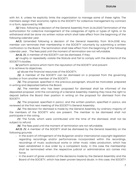with Art. 8, unless he explicitly limits the organization to manage some of these rights. The members assign their economic rights to the SOCIETY for collective management by contract in a form, approved by MB.

/2/ (new, following a decision of the General Assembly from 24.06.2020) Termination of the authorization for collective management of the categories of rights or types of rights, or its withdrawal shall be done via written notice which shall take effect from the beginning of the following calendar year.

Art.11. (amended following a decision of the General Assembly from 18.04.2018) Any member can terminate their membership in the SOCIETY voluntarily by submitting a written notification to the Board. The termination shall take effect from the beginning of the following calendar year. . The fees paid until the moment of termination are not refundable.

Art.12. /1/. A member of the SOCIETY can be dismissed, if they:

а/ roughly or repeatedly violate the Statute and fail to comply with the decisions of the SOCIETY's bodies.

b/ perform actions which harm the reputation of the SOCIETY and prevent it to achieve its objectives;

c/ abuse the financial resources of the SOCIETY;

/2/. A member of the SOCIETY can be dismissed on a proposal from the governing bodies or from another member of the SOCIETY.

/3/. The proposal, specified in the previous paragraph, should be motivated, prepared in writing and deposited before the Board.

/4/. The member who has been proposed for dismissal shall be informed of the deposited proposal. Until the convening of a General Assembly meeting they have the right to deposit before the Board their position in writing on the proposal for dismissal from the SOCIETY.

/5/. The proposal, specified in para.2, and the written position, specified in para.4, are reviewed at the first next meeting of the SOCIETY's General Assembly.

/6/. The decision for dismissal is made by the General Assembly by ordinary majority of the members of the SOCIETY who are present. The member to be dismissed shall not participate in the voting.

/7/. The funds, which were contributed until the time of the dismissal, shall not be subject to refund.

/8/. The fees paid until the moment of termination are not refundable.

Art.13. /1/. A member of the SOCIETY shall be dismissed by the General Assembly on the following grounds:

- In the event of infringement of the Bulgarian and/or international copyright legislation regarding recordings and/or performances incorporated within the recordings, recordings of music audiovisual works or other music video production, which has been established in due order by a competent body. In this case the membership shall be terminated when the respective judicial or administrative act comes into force;
- In the event of gross violation of the decisions made by the General Assembly and the Board of the SOCIETY, which has been proven beyond doubt. In this case, the SOCIETY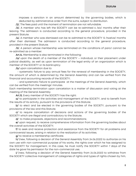imposes a sanction in an amount determined by the governing bodies, which is deducted by administrative order from the sums, subject to distribution.

/2/. The fees paid until the moment of termination are not refundable.

/3/. A member who has left the SOCIETY can be re-admitted 6 /six/ months after their leaving. The admission is conducted according to the general procedure, provided in the present Statute.

/4/. A member who was dismissed can be re-admitted to the SOCIETY 12 /twelve/ months after their dismissal. The admission is conducted according to the general procedure, provided in the present Statute.

/5/. A person whose membership was terminated on the conditions of para.1 cannot be re-admitted as a member.

Art.14. Membership is also terminated in the following:

/а/ upon the death of a member of the SOCIETY – individual, or their placement under judicial disability, as well as upon termination of the legal entity of an organization which is member of the SOCIETY or its bankruptcy.

/b/ upon cancellation due to:

- systematic failure to pay annual fees for the renewal of membership in the SOCIETY, the amount of which is determined by the General Assembly and can be verified from the financial and accounting records of the SOCIETY;

- and systematic failure to participate at the meetings of the General Assembly, which can be verified from the meetings' minutes.

Each membership termination upon cancelation is a matter of discussion and voting at the meeting of the General Assembly.

Art.15. Every member of the SOCIETY has the right:

a/ to participate in the activities and management of the SOCIETY, and to benefit from the results of its activity, pursuant to the provisions of this Statute;

b/ to elect and be elected in the governing bodies of the SOCIETY, pursuant to the provisions of the law and this Statute;

c/ to require cancellation of decisions and actions of the governing bodies of the SOCIETY which are illegal and contradictory to the Statute;

d/ to make proposals, objections and recommendations;

e/ upon request, to receive comprehensive information from the governing bodies about the overall activities of the SOCIETY;

f/ to seek and receive protection and assistance from the SOCIETY for all problems and controversial issues, arising in relation to the realization of its activities;

g/ to receive a membership certificate.

h/ (new, following a decision of the General Assembly from 24.06.2020) to authorize on his own use with non-commercial purpose of his works, the rights over which he has assigned to the SOCIETY for management. In this case, he must notify the SOCIETY within 7 days of the date he gave his permission for the non-commercial use;

i/ (new, following a decision of the General Assembly from 24.06.2020) to withdraw from the SOCIETY collective management of categories of rights and types of rights chosen by him,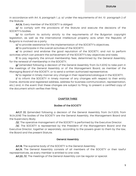in accordance with Art. 8, paragraph 1, p. a/ under the requirements of Art. 10 paragraph 2 of the Statute.

Art.16. Every member of the SOCIETY is obliged:

а/ to comply with the provisions of the Statute and execute the decisions of the SOCIETY's bodies;

b/ to conform its activity strictly to the requirements of the Bulgarian copyright legislation, as well as the international intellectual property acts when the Republic of Bulgaria is involved as a party.

c/ to provide assistance for the implementation of the SOCIETY's objectives;

d/ to participate in the overall activities of the SOCIETY;

e/ to protect and endorse the good reputation of the SOCIETY, and not to perform activities which can prevent the achievement of the SOCIETY's key objectives and tasks.

f/ to pay regularly the annual membership fees, determined by the General Assembly, for the renewal of membership in the SOCIETY;

g/ (amended following a decision of the General Assembly from 04.11.2015) to take part in the meetings of the General Assembly or of the Management Board, as member of the Managing Board of the SOCIETY, or to send a written authorized representative;

h/ to register in timely manner any change in their repertoire/catalogue in the SOCIETY;

i/ to inform the SOCIETY in timely manner of any changes with respect to their entity (name, domicile and registered address, address for business communication, representation, etc.) and, in the event that these changes are subject to filing, to present a certified copy of the document which verifies their filing.

### CHAPTER THREE

### Bodies of the SOCIETY

Art.17 /1/. (amended following a decision of the General Assembly from 04.11.2015; from 18.04.2018) The bodies of the SOCIETY are the General Assembly, the Management Board and the Supervisory Body.

/2/. The operative management of the SOCIETY is performed by the Executive Director.

/3/. The SOCIETY is represented by the President of the Management Board and the Executive Director, together or separately, according to the powers given to them by the law, the Board and the present Statute.

### General Assembly

Art.18. The supreme body of the SOCIETY is the General Assembly.

Art.19. The General Assembly consists of all members of the SOCIETY or their lawful representatives, as every member is entitled to one vote.

Art.20. /1/. The meetings of the General Assembly can be regular or special.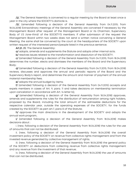/2/. The General Assembly is convened to a regular meeting by the Board at least once a year in the city where the SOCIETY's domicile is.

/3/. (amended following a decision of the General Assembly from 04.11.2015; from 18.04.2018) Extraordinary meetings of the General Assembly are convened if necessary by the Management Board after request of the Management Board or its Chairman, Supervisory Body of 1/3 /one-third/ of the SOCIETY'S members. If after submission of the request the Management Board within two weeks does not send a written notice convening a General Meeting, the same shall be convened by the court at the headquarters of the SOCIETY upon written request of the interested person/people listed in the previous sentence.

### Art.21. /1/. The General Assembly:

а/ adopts, amends and supplements the Statute and adopts other internal acts;

b/ resolves issues related to the transformation and dissolution of the SOCIETY;

c/ (amended following a decision of the General Assembly from 04.11.2015; from 18.04.2018) determines the number, elects and dismisses the members of the Board and the Supervisory Body;

d/ (amended following a decision of the General Assembly from 04.11.2015; from 18.04.2018) reviews, discusses and approves the annual and periodic reports of the Board and the Supervisory Body's report, and determines the amount and manner of payment of the annual material membership fees.

e/ adopts the annual budget by items;

f/ (amended following a decision of the General Assembly from 04.11.2015) accepts and expels members in cases of Art. 9, para. 11 and takes decisions on membership termination upon cancelation in accordance with Art. 14 letter b);

g/ (amended following a decision of the General Assembly from 18.04.2018) approves, amends and supplements the rules for the distribution of remuneration among right holders, proposed by the Board, including the total amount of the admissible deductions for the respective calendar year, outside the operating expenses of the SOCIETY, for the funds created by the SOCIETY as pert art.7, para.13 of the Statute;

h/ approves the main directions in the development of the SOCIETY and adopts the annual work program;.

i/ (amended following a decision of the General Assembly from 18.04.2018) makes decisions about :

i. (new, following a decision of the General Assembly from 18.04.2018) the rules for the use of amounts that can not be distributed;

ii. (new, following a decision of the General Assembly from 18.04.2018) the overall investment policy of the SOCIETY on revenue from collective rights management and from the invested revenue generated by collective management of rights;

iii. (new, following a decision of the General Assembly from 18.04.2018) the general policy of the SOCIETY on deductions from collecting revenue from collective rights management and any revenue from the investment of that revenue;

iv. (new, following a decision of the General Assembly from 18.04.2018) the use of amounts that can not be distributed;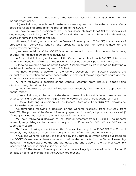v. (new, following a decision of the General Assembly from 18.04.2018) the risk management policy;

vi. (new, following a decision of the General Assembly from 18.04.2018) the approval of any acquisition, sale or mortgage of the real estate of the SOCIETY;

vii. (new, following a decision of the General Assembly from 18.04.2018) the approval of any merger, association, the formation of subsidiaries and the acquisition of undertakings, shares or rights in other undertakings;

viii. (new, following a decision of the General Assembly from 18.04.2018) the approval of proposals for borrowing, lending and providing collateral for loans related to the organization's activities

j/ revokes decisions of the SOCIETY's other bodies which contradict the law, the Statute, or other internal acts regulating its activities;

k/ (amended following a decision of the General Assembly from 24.04.2013) determines the organizations-beneficiaries of the SOCIETY's funds as pert art.7, para.13 of the Statute;

l/ (new, following a decision of the General Assembly from 04.11.2015 repealed following a decision of the General Assembly from 18.04.2018))

m/ (new, following a decision of the General Assembly from 18.04.2018) approve the amount of remuneration and other benefits that members of the Management Board and the Supervisory Body receive from the SOCIETY;

n/ (new, following a decision of the General Assembly from 18.04.2018) appoint and dismisses a registered auditor;

o/ (new, following a decision of the General Assembly from 18.04.2018) approves the annual report;

p/ (new, following a decision of the General Assembly from 18.04.2018) determines the criteria, terms and conditions for the provision of social, cultural or educational services;

q/ (new, following a decision of the General Assembly from 18.04.2018) decides to terminate the organization.

/2/. (amended following a decision of the General Assembly from 24.04.2013; from 18.04.2018) The powers of the General Assembly, specified in para.1, subpara. а/, b/, c/, d/, e/, j/ k/ and q) may not be assigned to other bodies of the SOCIETY.

/3/. (new, following a decision of the General Assembly from 18.04.2018) The General Assembly may delegate the powers under par. 1, pt. i/, letters "v", "vi", "vii" and "viii" to the Supervisory Soard.

/4/. (new, following a decision of the General Assembly from 18.04.2018) The General Assembly may delegate the powers under par. 1, letter n/ to the Management Board.

Art.22. The General Assembly is convened by the Board by a written notice published on the SOCIETY's website at least one month before the set date for the General Assembly meeting. The notice specifies the agenda, date, time and place of the General Assembly meeting, and on whose initiative it is convened.

Art.23. /1/. The General Assembly shall be considered legally convened and conducted, if at least a half of all members of the SOCIETY are present.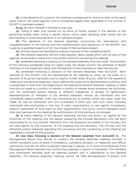/2/. In the absence of a quorum, the meeting is postponed for one hour later at the same place and on the same agenda, and is considered legally held, regardless of the number of SOCIETY's members present.

Art.24. /1/. Each member is entitled to one vote.

/2/. Voting is open and carried out by show of hands, except in the election of the governing bodies when voting is secret. Secret voting when deciding other issues can be permitted by a unanimous decision of all members present.

/3/. The decisions of the General Assembly concerning the amendment and supplementation of the Statute and the transformation and dissolution of the SOCIETY are made by a qualified majority of 2/3 /two thirds/ of the members present.

/4/. All other issues are decided by ordinary majority of the members present.

/5/. The General Assembly cannot make decision about issues which are not part of the agenda, announced in advance in the written notice for convening the meeting.

/6/. (amended following a decision of the General Assembly from 18.04.2018) The provision of the previous paragraph shall not apply when the issues concern the dismissal of Board members or the Supervisory Body and the election of new members to take their places.

/7/. (amended following a decision of the General Assembly from 18.04.2018) Each member of the SOCIETY can be represented at the meeting by proxy on the basis of a decision of its governing bodies and by explicit written letter of proxy, valid for the respective meeting of the General Assembly, which defines the scope of its representative authority and is presented no later than the beginning of the respective General Assembly meeting, in case that this not leads to a conflict of interest A conflict of interest exists whenever the authoriser and the authorized person belong to different categories or groups of rightholders. Representatives of members of the General Assembly cannot be individuals who are considered related parties under the Commerce Act to entities, which are users under the CNRA, as well as individuals who are connected in other way with such users, including individuals who participate in any way in users' organizations, or are agents, consultants, external associates of such users or their organizations. One proxy cannot represent more than two members at the meeting. Re-authorization of third parties is not allowed.

/8/ At every meeting of the General Assembly minutes are drawn up, signed by the Chairman of the meeting and the person preparing the minutes (secretary) who are both responsible for its true content. Abstracts from the decisions are added to the minutes, and are also signed by the Chairman of the meeting and the secretary. The minutes and the attached written materials regarding the convening and the conducting of the meeting are registered in a book for this purpose.

Art. 24a. (new, following a decision of the General Assembly from 26.05.2021) /1/. The Management Board may decide to conduct the General Assembly meeting remotely in certain situations such as state of emergency, pandemic situation, or measures and official restrictions, that do not allow or prevent meetings in-person, or in other circumstances if the Management Board decides that conducting meetings in-person is impossible. The members who participate remotely shall be deemed present and in attendance at the General Assembly. The General Assembly meeting cannot be held simultaneously in-person and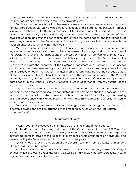remotely. The General Assembly meeting cannot be held remotely if the decisions made on the meeting are subject to entry in the Commercial Register.

/2/. The Management Board undertakes the necessary measures to ensure the direct remote participation via online video communication and electronic means which provide secure connection for all attending members of the General Assembly and allows them to directly, simultaneously and continuously hear and see each other, regardless of their physical location, and thus the connection guarantees the participation and identification of every single member of the General Assembly and his right to vote in accordance with the requirements for quorum and individual voting.

/3/. In order to participate in the meeting via online connection each member must register with the personal electronic address he hasused for his registration as a member of the SOCIETY, following the instructions in the written notice for convening themeeting. By submitting his electronic statements and with his participation in the General Assembly meeting, the member agrees that these statements are equivalent to a handwritten signature in accordance with the principles of the Electronic document and Electronic Тrust Services act. If a member is represented by a proxy, a power of attorney should be presented in the administrative office of the SOCIETY no later than 5 working days before the scheduled date of the General Assembly meeting. For the purposes of the proxy's participation in the General Assembly meeting, his email address must be stated in his power of attorney.The quorum for participation in the General Assembly meeting is set in accordance with the number of the registered members.

/4/. At the start of the meeting the Chairman of the Management board announces the manner in which the meeting shall be conducted and the members shall vote considering the technical characteristics of the software which would be used for conducting the meeting online in accordance with with the requirements of Art. 2. Third parties re-authorization during the meeting is not permitted.

/5/. For each of the remotely conducted meetings a video recording shall be made on an electronic device and shall be attached to the meeting minutes which shall be written under Art. 24 /8/

### Management Board

Art.25. A supreme executive body of the SOCIETY is the Management Board.

Art.26. /1/. (amended following a decision of the General Assembly from 18.04.2018) The Board of the SOCIETY consists of 9 /nine/ people – legal representatives or expressly authorized representatives of the legal entity members, or sole proprietors, or individuals, and are elected by the General Assembly for a term of three years.

/2/. (amended following a decision of the General Assembly from 18.04.2018) For members of the Board cannot be elected:

- individuals who are owners, shareholders or participants in the governance of legal entities which are users under the CNRA, as well as individuals who are representatives or legal advisers of such users by contract;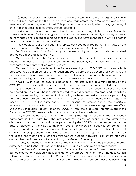- (amended following a decision of the General Assembly from 04.11.2015) Persons who were not members of the SOCIETY at least one year before the date of the election for members of the Management Board. This provision shall not apply whenchanging the legal entity which represents already registered repertoire

- individuals who were not present at the elective meeting of the General Assembly, unless they have notified in writing and in advance the General Assembly that they agree to be nominated and elected as a member of the Board, and have authorized in writing another person to represent them at the meeting.

- individuals who are not Performing artists but have acquired performing rights on the basis of a contract with performing artists in accordance with Art. 9 para. 3.

/3/. The members of the Board may not be related by marriage or kinship up to third degree by direct and collateral line.

/4/. The members of the Board are elected by explicit motivated nomination made by another member of the General Assembly of the SOCIETY, as the very election of the nominated applicants shall be voted in secret.

/5/ (new, following a decision of the General Assembly from 18.04.2018) Any person who is proposed to be a member of the Management Board before the election shall submit to the General Assembly a declaration on the absence of obstacles for which he/she can not be chosen according par. 2 and 3 as well as for circumstances under art. 30a, p. 1 and p. 4.

Art.26a /1/. In order to ensure a balance of interests in the governing bodies of the SOCIETY, the members of the Board are elected by and assigned to quotas, as follows:

/а/ producers' interest quota – for a Board member in the producers' interest quota can be elected an individual who is a holder of producers' rights only or who produced recordings in a volume, exceeding the volume of all recordings, where their performances as performing artist are incorporated. When determining the quality of a given member with regard to meeting the criteria for participation in the producers' interest quota, the repertoire registered in the SOCIETY is taken into account, including the repertoire registered ex-officio under the Distribution Regulatives of the SOCIETY. From the producers' interest quota in the Board of the SOCIETY are elected a total of 4 /four/ members, of whom:

- 3 /three/ members of the SOCIETY holding the biggest share in the distribution participate in the Board by right (producers by volume category). In the latter case distribution shall mean the distribution, performed by the SOCIETY for the last year up to the date of election of the new Management Board for which distribution is performed. The person granted the right of nomination within this category is the representative of the legal entity or the sole proprietor, under whose name is registered the repertoire in the SOCIETY by the date of the meeting for elections of the General Assembly. This provision enters into force and applies as of the date of its adoption by the General Assembly.

- 1 /one/ is elected by all members of the SOCIETY falling within the producers' interest quota according to the criterion, specified in letter 'a' (producers by election category).

/b/ performers' interest quota – for a Board member in the performers' interest quota can be elected an individual who is a holder of performers' rights only and who does not fall within the restrictions set out by Art. 26, Para. 3, Subpara. 4, or who produced recordings in a volume, smaller than the volume of all recordings, where their performances as performing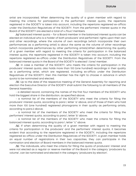### **Statute**

artist are incorporated. When determining the quality of a given member with regard to meeting the criteria for participation in the performers' interest quota, the repertoire registered in the SOCIETY is taken into account, including the repertoire registered ex-officio under the Distribution Regulatives of the SOCIETY. From the performers' interest quota in the Board of the SOCIETY are elected a total of 4 /four/ members.

/c/ balanced interest quota – for a Board member in the balanced interest quota can be elected an individual who is a holder of both producers' and performers' rights upon their own and other recordings, where the volume of own recordings (which incorporate their own performances as a performing artist) is about the same as the volume of other recordings (which incorporate performances by other performing artists).When determining the quality of a given member with regard to meeting the criteria for participation in the balanced interest quota, the repertoire registered in the SOCIETY is taken into account, including the repertoire registered ex-officio under the Distribution Regulatives of the SOCIETY. From the balanced interest quota in the Board of the SOCIETY is elected 1 /one/ member.

/2/. In case a member of the SOCIETY, who meets the criteria for participation in the producers' interest quota, also holds more than 100 (one hundred) recordings in their quality as a performing artist, which are registered, including ex-officio under the Distribution Regulatives of the SOCIETY, then this member has the right to choose in advance in which quota to be nominated and elected.

/3/. Up to the date of the respective meeting of the General Assembly for reporting and election the Executive Director of the SOCIETY shall submit the following to all members of the General Assembly:

- a detailed record, containing the names of the first four members of the SOCIETY who hold the biggest share in the distribution, as specified above;

- a nominal list of the members of the SOCIETY who meet the criteria for filling the producers' interest quota, according to para.1, letter 'a' above, and of those of them who hold more than 100 (one hundred) registered phonograms in their quality as performing artists, according to para.2 above;

- a nominal list of the members of the SOCIETY who meet the criteria for filling the performers' interest quota, according to para.1, letter 'b' above;

- a nominal list of the members of the SOCIETY who meet the criteria for filling the balanced interest quota, according to para 1, letter "c" above.

/4/. If when determining the quality of a given member with regard to meeting the criteria for participation in the producers' and the performers' interest quota, it becomes evident that according to the repertoire registered in the SOCIETY, including the repertoire registered ex-officio under the Distribution Regulatives of the SOCIETY, a given member holds an equal number of registrations in their two capacities, they can participate in the nomination and election of Board members in the balanced interest quota.

/5/. The individuals, who meet the criteria for filling the quota of producers' interest and were not elected as a regular or reserve member of the Board in the category 'producers by volume', can be nominated and elected in the category 'producers by election'.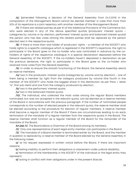/6/. (amended following a decision of the General Assembly from 04.11.2015) In the composition of the Management Board cannot be elected member in case that more than 20% of its repertoire is a joint repertory with another member of the Management Board.

/7/. If there are related parties as per §1 of the Additional Provisions of the Commerce Act, who were elected in any of the above specified quotas (producers' interest quota – categories by volume or by election, performers' interest quota and balanced interest quota) the person who has less votes among the related parties shall be replaced by the person elected next in the respective quota.

/8/. If there is more than one holder of producers' rights – a member of the SOCIETY who holds rights to a specific catalogue which is registered in the SOCIETY's repertoire, the right to participate in the Board goes to the co-holder who was nominated in advance by the coholders of rights of the respective catalogue in a special declaration deposited before the General Assembly of the SOCIETY. If the co-holders haven't deposited a declaration as per the previous sentence, the right to participate in the Board goes to the co-holder who received more votes from the General Assembly.

/9/. In order to ensure the smooth functioning of the Board, the General Assembly elects six reserve members:

/a/ two in the producers' interest quota (categories by volume and by election) – one of them being a member by right from the category producers by volume (the fourth in line member of the SOCIETY who holds the biggest share in the distribution as per Para. 1, letter "a", first sub-item) and one from the category producers by election;

**/b/** two in the performers' interest quota.

/c/ two in the balanced interest quota.

/10/. The individual, who collected the most votes among the regular Board members nominated, but was not accepted in the relevant quota, can be elected as a reserve member of the Board in accordance with the previous paragraph. If the number of nominated people corresponds to the number of elected people in the relevant quota, the reserve member shall be elected according to the procedure for election of regular members. A reserve member shall become a regular member of the Board if there are circumstances leading to an early termination of the mandate of a regular member from the respective quota in the Board. The reserve member shall function as a regular member of the Board for the remainder of the mandate of the Board.

Art.26b /1/. The Board elects a Chairman of the Board among its members.

/2/. Only one representative of each legal entity member can participate in the Board.

/3/. The mandate of a Board member is terminated earlier by the Board, and the member in question is replaced by a reserve member of the Board elected by the General Assembly in the following cases:

а/ at his request expressed in written notice before the Board, if there are important reasons;

b/ lasting inability to perform their obligations or placement under judicial disability;

c/ termination of the membership in the SOCIETY of the individual or the legal entity they represent;

d/ acting in conflict with their obligations under in the present Statute;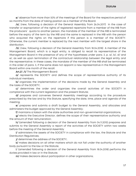e/ absence from more than 50% of the meetings of the Board for the respective period of six months from the date of taking position as a member of the Board.

/4/. (new, following a decision of the General Assembly from 26.04.2017) In the case of transfer or expropriation of the rights of registered repertoire from a member of the MB from the producers` quota to another person, the mandate of the member of the MB is terminated before the expiry of the term by the MB and the same is replaced in the MB with the person who acquired the rights on the repertoire if this person is a member of the SOCIETY. Otherwise, the current member is replaced by the next member with the largest share in the distribution.

/5/. (new, following a decision of the General Assembly from 18.04.2018) A member of the Management Board, which is a legal entity, is obliged to recall its representative of the Management Board in the presence of any of the hypotheses under para. 3, p. a/, b/, d/ and e/, as well as upon termination of the contractual relationship between the legal entity and the representative. In these cases, the mandate of the member of the MB shall be terminated in the order of para. 3, if the same does not appoint a new representative in the Management Board within one month of the recall.

Art.27. /1/ The Management Board:

a/ represents the SOCIETY and defines the scope of representative authority of its individual members;

b/ organizes the implementation of the decisions made by the General Assembly and the tasks of the SOCIETY;

c/ determines the order and organizes the overall activities of the SOCIETY in compliance with the current legislation and the present Statute;

d/ prepares and convenes General Assembly meetings according to the procedure prescribed by the law and by this Statute, specifying the date, time, place and agenda of the meeting;

e/ prepares and submits a draft budget to the General Assembly, and allocates and administers the budget approved by the General Assembly;

f/ maintains a liaison with the state authorities and non-governmental organizations;

g/ elects the Executive Director, defines the scope of their representative authority and the amount of their remuneration;

h/ (amended following a decision of the General Assembly from 04.11.2015) prepares and submits to the General Assembly a report of the activities of the SOCIETY within two weeks before the meeting of the General Assembly

i/ administers the assets of the SOCIETY in compliance with the law, the Statute and the Distribution Regulatives;

j/ determines the address of the SOCIETY;

k/ makes decisions on all other matters which do not fall under the authority of another body pursuant to the law or the Statute;

l/ (amended following a decision of the General Assembly from 18.04.2018) performs the duties provided in law or in the Statute;

m/ makes decisions about participation in other organizations;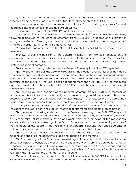n/ replaces a regular member of the Board, whose mandate was terminated earlier, with a reserve member of the Board, elected by the General Assembly of the SOCIETY;

o/ adopts amendments in the General conditions for authorizing the use of sound recordings and recordings of music audiovisual works.

p/ confirms the Tariffs of the SOCIETY and their amendments;

q/ (repealed following a decision of the General Assembly from 24.04.2013) repealed.new, following a decision of the General Assembly from 18.04.2018) - prepares and submits for voting at the General Meeting the rules for distribution of revenues from the management of rights by the organization and their amendments;

r/. (new, following a decision of the General Assembly from 04.11.2015) accepts and expels members

s/ (new, following a decision of the General Assembly from 18.04.2018) decides on the conclusion of a mutual representation agreement under the procedure of Art. 94c, para. 2 of the CNRA with another organization for collective rights management or an independent rights management company;

/2/. (repealed following a decision of the General Assembly from 22.10.2013) repealed.

/3/. The Board makes all the decisions regarding the election and dismissal of individuals who provide outsourced services for monitoring and analysis of the use of protected content, legal consultancy services, PR services and/or other auxiliary services, related to the main activities of the SOCIETY. The Board shall not spend more than 50 (fifty) % of the budgeted expenses, provided for the activities of the SOCIETY, for all the above specified outsourced services or activities.

/4/. (new, following a decision of the General Assembly from 18.04.2018) A member of Management Board does not have the right to vote in making decisions related to his or her actual or possible conflict of interest, but may participate in their discussion. The board may decide that the member should not vote, even if he does not give up his right to vote.

Art.28. /1/.(amended following a decision of the General Assembly from 18.04.2018) The President of the Board convenes regular meetings for its members at least 12 times a year.

/2/. (amended following a decision of the General Assembly from 04.11.2015) A special meeting of the Board may be convened upon motivated request by the Supervisory Body or by 1/3 /one third/ of its members. Within one week from the submission of the request the President shall convene a meeting of the Board. Otherwise it can be convened by anyone of the members of the Board. If the President of the Board is absent, they shall authorize in writing the individual who substitutes them and the period of substitution.

/3/. The President notifies the other members of the Board at least five days prior to a meeting and specifies the date, time, place and agenda of the meeting.

/4/. The meetings of the Board are deemed legal, if more than half of its members are present. A person is considered present if there is a two-way telephone connection or other connection ensuring his identity and allowing them to participate in the discussions and the decision-making throughout the whole meeting of the Board. The voting of such member is verified in the minutes by the Chairman of the meeting.

/5/. (new, following a decision of the General Assembly from 24.04.2013) A member of the Board who is unable to attend can be represented during a meeting from another member of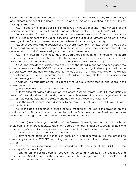Board through an explicit written authorization. A member of the Board may represent only 1 (one) absent member of the Board. The voting of such member is verified in the minutes by their representative.

/6/. The Board may make decisions in absentia (without a meeting) if the minutes for the decision made is signed without remarks and objections by all members of the Board.

/7/. (amended following a decision of the General Assembly from 04.11.2015; from 18.04.2018) The members of the Supervisory Body and the Executive Director participate in the meetings of the Board and take a stand on the issues in an advisory capacity.

/8/.(amended following a decision of the General Assembly from 18.04.2018) The decisions of the Board are made by ordinary majority of those present, while the decisions referred to in art.27 letter c/, i/ and s/ are made by the majority of all members;

/9/. The minutes from the meetings of the Board are signed by all members of the Board who were present. In compliance with the requirement in the previous sentence, the provisions of Art.24, Para.8 also apply to the minutes from the Board meetings.

Art.29. The President organizes the activities of the Board, manages and supervises the current operations of the SOCIETY in accordance with the main guidelines approved by the General Assembly and decisions made by it, makes decision for matters outside of the explicit competence of the General Assembly and the Board, and represents the SOCIETY according to the powers given to them by the Board.

Art.30. /1/. The mandate of the President of the Board is terminated by the Board in the following events:

а/ upon a written request by the President to the Board

b/ (amended following a decision of the General Assembly from 04.11.2015) when acting in breach of the obligations and thereby hinder the achievement of goals and objectives of the SOCIETY, as well as violating the Statute and decisions of the General Assembly;

c/ in the event of permanent disability to perform their obligations and if placed under judicial disability.

/2/. In the above-specified events a special meeting of the Board is convened on the conditions of art.28, para.2, when the members of the Board elect a new President and take actions for their registration in the court by the SOCIETY's domicile.

Art. 30a. (new, following a decision of the General Assembly from 04.11.2015) In order to avoid conflict of interest each Management Board's member is required to submit annually to the reporting General Assembly individual declaration that must contain information on:

1. any interests associated with the SOCIETY;

2. any remuneration and benefits in cash or in kind received during the preceding calendar year of the SOCIETY, including pension, social, cultural and other funds of the SOCIETY;

3. any amounts received during the preceding calendar year of the SOCIETY in the capacity of a holder of rights;

4. any actual or possible conflict between the personal interests of the declarant and these of the SOCIETY or conflict between any other obligations to the SOCIETY and obligations to other persons or entities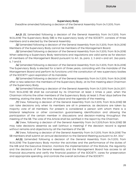**Statute** 

### Supervisory Body

(headline amended following a decision of the General Assembly from 04.11.2015; from 18.04.2018)

Art.31 /1/. (amended following a decision of the General Assembly from 04.11.2015; from 18.04.2018) The Supervisory Body (SB) is the supervisory body of the SOCIETY, consists of three members and is elected by the General Assembly.

/2/ (amended following a decision of the General Assembly from 04.11.2015; from 18.04.2018) Members of the Supervisory Body cannot be members of the Management Board.

/3/ (amended following a decision of the General Assembly from 04.11.2015; from 18.04.2018) When selecting a Supervisory Body restrictions and regulations are valid same as for election of members of the Management Board pursuant to Art. 26, para. 2, 3 and 4 and art. 26a para. 6, 7 and 8.

/4/ (amended following a decision of the General Assembly from 04.11.2015; from 18.04.2018) The Supervisory Body is elected for a term of three years, coinciding with the mandate of the Management Board and perform its functions until the constitution of new supervisory bodies of the SOCIETY upon expiration of its mandate.

/5/ (amended following a decision of the General Assembly from 04.11.2015; from 18.04.2018) after a new selection the members of the Supervisory Body, at its first meeting elect Chairman of the Supervisory Body.

/6/ (amended following a decision of the General Assembly from 04.11.2015 from 26.04.2017; from 18.04.2018) SB shall be convened by its Chairman at least 2 times a year, when the Chairman informs the other members of the Supervisory Body at least 5 /five/ days before the meeting, stating the date, the time, the place and the agenda of the meeting.

/7/ (new, following a decision of the General Assembly from 04.11.2015; from 18.04.2018)) SB can take decisions only when its members are all in presence, as decisions are taken by majority vote of all members. For present is considered a person with whom there is a bilateral telephone or other connection guaranteeing identification and allowing the participation of the certain member in discussions and decision-making throughout the meeting of the SB. The vote of this Article shall be certified in the report by the Chairman.

/8/ (new, following a decision of the General Assembly from 04.11.2015;from 18.04.2018)) SB may take decisions absentia as well (without a meeting) if the decision record is signed without remarks and objections by all the members of the SB.

/9/ (new, following a decision of the General Assembly from 04.11.2015; from 18.04.2018) The SB members shall submit an annual declaration to the General Meeting pursuant to Art. 30a."

Art.32. (amended following a decision of the General Assembly from 04.11.2015; from 18.04.2018) The Supervisory Body monitor the activities and the performance of the duties of the MB and the Executive Director, monitors the implementation of this Statute, the regularity and the decisions of the General Assembly and the Management Board has access to all financial documents and verify the financial position of the SOCIETY, cares for preservation and appropriate spending, and controls the overall activities of the SOCIETY.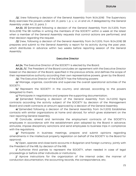/2/. (new following a decision of the General Assembly from 18.04.2018) The Supervisory Body exercises the powers under Art. 21, para. 1, p. v, vi, vii and viii, if delegated by the General Assembly under Art. 21, para. 3

Art.33. /1/ (amended following a decision of the General Assembly from 04.11.2015; from 18.04.2018) The SB notifies in writing the members of the SOCIETY within a week at the latest when a member of the General Assembly requests that control actions are performed, and their decision regarding the request.

/2/ (new, following a decision of the General Assembly from 04.11.2015; from 18.04.2018) SB prepares and submit to the General Assembly a report for its activity during the past year, which distributes in advance within two weeks before reporting session of the General Assembly.

### Executive Director

Art.34. The Executive Director of the SOCIETY is elected by the Board.

Art.35. /1/. The President of the Board concludes an agreement with the Executive Director based on the decision of the Board, specified in the previous article, and defines the scope of their representative authority according their own representative powers, given by the Board.

/2/. The Executive Director of the SOCIETY has the following powers:

а/ Manage, organize, coordinate and supervise the overall operational activities of the SOCIETY;

b/ Represent the SOCIETY in the country and abroad, according to the powers delegated to them;

c/ Participate in negotiations and prepare the supporting documentation;

d/ (amended following a decision of the General Assembly from 04.11.2015) Signs contracts according the activity subject of the SOCIETY by decision of the Management Board and credit contracts at amount approved by a decision of the General Assembly

e/ (amended following a decision of the General Assembly from 04.11.2015) Establishes contacts with similar organizations at home and abroad, for which gives statement on the next reporting General Assembly

f/ Conclude, amend and terminate the employment contracts of the SOCIETY's employees in accordance with the establishment plan adopted by the Board in advance; stimulate, impose disciplinary sanctions and send employees to business trips in compliance with the regulations.

g/ Participate in business meetings, prepare and submit opinions regarding amendments in the intellectual property legislation on behalf of the SOCIETY to the Board for approval;

h/ Open, operate and close bank accounts in Bulgarian and foreign currency, jointly with the President of the MB, by decision of the MB;

i/ Authorize third parties to represent the SOCIETY, when needed in case of legal proceedings or before other individuals or institutions;

j/ Aprove instructions for the organization of the internal order, the manner of conduction documentation, the accounting records, the correspondence, etc;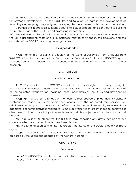k/ Provide assistance to the Board in the preparation of the annual budget and the plan for strategic development of the SOCIETY, and take active part in the development of feasibility studies, programs, analyses, concepts, distribution rules and other documentation;

l/ Participate in public discussions about intellectual property and contribute to building the public image of the SOCIETY and promoting its activities.

m/ (new, following a decision of the General Assembly from 04.11.2015; from 18.04.2018) assists the SB in ascertaining facts and circumstances related to finances, the decisions and the activities of the SOCIETY and its governing bodies.

### Expiry of Mandate

Art.36. (amended following a decision of the General Assembly from 04.11.2015; from 18.04.2018) When the mandate of the Board and the Supervisory Body of the SOCIETY expires, they shall continue to perform their functions until the election of new ones by the General Assembly.

### CHAPTER FOUR

### Funds of the SOCIETY

Art.37. The assets of the SOCIETY consist of ownership right, other property rights, receivables, intellectual property rights, trademarks and other rights and obligations, as well as the collected remuneration, including those under art.26 of the CNRA and any accrues interests.

Art.38. /1/. The SOCIETY is funded by membership fees, sponsorship, donations, voluntary contributions made by its members, deductions from the collected remuneration for administrative support in the amount defined by the General Assembly, revenues from additional economic activities related to its main activities which are intended to achieve set objectives, and financial aid by other societies with similar objectives from the country and abroad.

/2/. In pursuit of its objectives, the SOCIETY may conclude any gratuitous or onerous contracts which are not restricted or prohibited by law.

/3/. The funding sources shall not contradict the status of the SOCIETY as a not-profit organization.

Art.39. The expenses of the SOCIETY are made in accordance with the annual budget prepared by the Board and adopted by the General Assembly.

### CHAPTER FIVE

### **Dissolution**

 Art.40. The SOCIETY is established without a fixed term or a precondition. Art.41. The SOCIETY may be dissolved: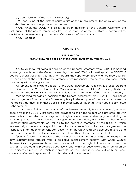/1/ upon decision of the General Assembly;

 /2/ upon ruling of the district court, claim of the public prosecutor, or by any of the stakeholders, in the cases provided by the law.

Art.42. When the SOCIETY is dissolved upon decision of the General Assembly, the distribution of the assets, remaining after the satisfaction of the creditors, is performed by decision of the members up to the date of dissolution of the SOCIETY.

Art.43. Repealed.

### CHAPTER SIX

### **INFORMATION** (new, following a decision of the General Assembly from 04.11.2015)

Art. 44. /1/ (new, following a decision of the General Assembly from 04.11.2015(amended following a decision of the General Assembly from 18.04.2018)) All meetings of the SOCIETY'S bodies (General Assembly, Management Board, the Supervisory Body) shall be recorded. For the accuracy of the content of the protocols are responsible the certain Chairmen, which they certify with their signatures.

/2/ (amended following a decision of the General Assembly from 18.04.2018) Excerpts from the minutes of the General Assembly, Management Board and the Supervisory Body are published on the SOCIETY'S website within 3 days after the meeting of the relevant authority.

/3/(amended following a decision of the General Assembly from 18.04.2018) Decisions of the Management Board and the Supervisory Body in the samples of the protocols, as well as the topics that have taken these decisions may be kept confidential, which specifically noted in the samples.

Art. 44a. (new, following a decision of the General Assembly from 18.04.2018) /1/ At least once a year the SOCIETY prepares and provides to the right holders who are credited with revenue from the collective management of rights or who have received payments during the relevant period, to the collective management organizations, with which it has mutual representation agreements, as well as to the collective members of the SOCIETY, which represent right holders, among which they allocate revenue from collective management, the respective information under Chapter Eleven "h" of the CNRA regarding accrued revenue and paid amounts and the deductions made, as well as other information, under the law.

/2/.(new, following a decision of the General Assembly from 18.04.2018) Upon receipt of a duly substantiated request from a collective management society, with whom Mutual Representation Agreement have been concluded, or from right holder or from user, the SOCIETY prepares and provides electronically and within a reasonable time information on the objects of protection which it represents, on the rights it manages directly or under contracts of mutual representation and on the territories covered.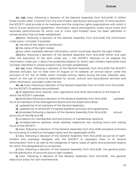Art. 44b. (new, following a decision of the General Assembly from 18.04.2018) /1/ Within three months after 3 months from the end of each distribution and payment of remuneration, the SOCIETY shall provide to its members and the collective rights organizations with which it has a mutual reciprocal agreement, information about phonograms, audio-visual works and recorded performances for which one or more right-holders have not been identified or whose location has not been established.

/2/.(new, following a decision of the General Assembly from 18.04.2018) The information under para. 1 includes, if possible:

a) the title of the object of protection;

b) the name of the right-holder;

c) any other available relevant information, which could help identify the right-holder

/3/.(new, following a decision of the General Assembly from 18.04.2018) Within one year after the expiration of the term under par. 1, the SOCIETY disclose on its website the information under par. 2 about the protected objects for which right-holders meanwhile have not been identified or whose location has not been established.

Art. 44c. (new, following a decision of the General Assembly from 18.04.2018) The SOCIETY disclose annually, but no later than 30 August on its website, an annual report under the provision of art. 94s<sup>1</sup> of CNRA, which includes activity report during the past calendar year, report on the use of amounts deducted for social, cultural and educational services and other information, provided under the law.

Art. 45. (new, following a decision of the General Assembly from 04.11.2015; from 18.04.2018) On the SOCIETY'S website are published:

a) all legislation acts, statute, rules, regulations and other documents on the basis of which the SOCIETY operates;

b) (amended following a decision of the General Assembly from 18.04.2018) updated list of all members of the Management Board and the Supervisory Body;

c) updated list of all members of the General Assembly;

d) updated list of all SOCIETY'S signed bilateral contracts and agreements;

e) (amended following a decision of the General Assembly from 18.04.2018) annual accounts of the MB and SB;

f) conditions for membership and termination of membership relations;

g) correspondence address, email address, telephone, fax, working hours and visiting hours of the SOCIETY;

h) (new, following a decision of the General Assembly from 18.04.2018) standard contracts for entrusting of collective managed rights and the applicable tariffs;

i) (new, following a decision of the General Assembly from 18.04.2018) actual list of rightholders who expressly disagree with the SOCIETY to represent them or to receive remuneration from it, as well as the categories of rights, types of rights and protected objects for which this disagreement is concerned;

j) (new, following a decision of the General Assembly from 18.04.2018) the general policy for the distribution of amounts due to right-holders;

k) (new, following a decision of the General Assembly from 18.04.2018) the general deduction policy for own maintenance;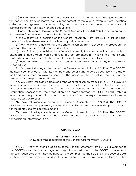l) (new, following a decision of the General Assembly from 18.04.2018) the general policy for deductions from collective rights management revenue and revenue from investing collective management income, including deductions for social, cultural or educational services other than self-maintenance deductions;

m) (new, following a decision of the General Assembly from 18.04.2018) the common policy for the use of amounts that can not be distributed;

n) (new, following a decision of the General Assembly from 18.04.2018) a list of rightholders, for whom there are distributed and unpaid remunerations;

o) (new, following a decision of the General Assembly from 18.04.2018) the procedure for dealing with complaints and resolving disputes;

p) (new, following a decision of the General Assembly from 18.04.2018) information about phonograms, audio-visual works and recorded performances for which one or more rightholders have not been identified or whose location has not been established.

q) (new, following a decision of the General Assembly from 18.04.2018) annual report under art. 44c.

Art. 46. (new, following a decision of the General Assembly from 18.04.2018) The SOCIETY maintains communication with its members and other right holders electronically via the email addresses listed on www.prophon.org. The messages should include the name of the sender and correspondence address.

Art. 47. /1/.(new, following a decision of the General Assembly from 18.04.2018) The SOCIETY maintains communication with users via e-mail under the provisions of art. 46. Upon request by a user to conclude a contract for entrusting collective managed rights, that contains information necessary for the preparation of a draft contract, the SOCIETY shall, within a reasonable time, provide a draft contract with its tariff for the respective use or shall send a reasoned written refusal.

/2/. (new, following a decision of the General Assembly from 18.04.2018) The SOCIETY provides the users the opportunity to send the provided in the contracts under para. 1 reports for the rights used by electronic means.

/3/. (new, following a decision of the General Assembly from 18.04.2018) The SOCIETY provides to the users, with whom it has concluded a contract under par. 1 its e-mail address for additional information, if any.

### CHAPTER SEVEN

 $\overline{a}$ 

### SETTLEMENT OF DISPUTES

(new, following a decision of the General Assembly from 18.04.2018)

Art. 48. /1/. (new, following a decision of the General Assembly from 18.04.2018) Member of the SOCIETY or collective management organization, with which the SOCIETY has mutual representation agreement has the right to file a complaint to the SOCIETY in the case of data relating to an infringement or dispute relating to the authorization of collective rights